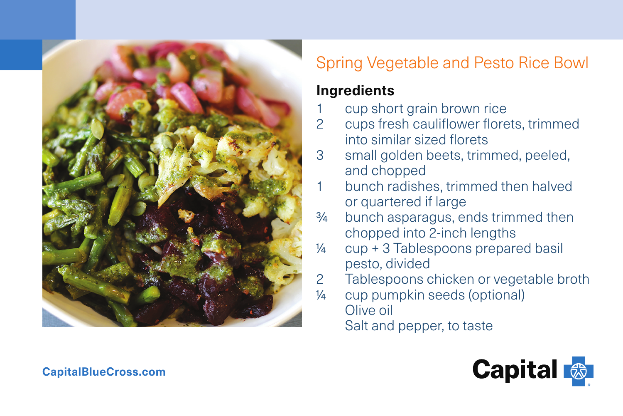

# Spring Vegetable and Pesto Rice Bowl

### **Ingredients**

- cup short grain brown rice
- 2 cups fresh cauliflower florets, trimmed into similar sized florets
- 3 small golden beets, trimmed, peeled, and chopped
- bunch radishes, trimmed then halved or quartered if large
- ¾ bunch asparagus, ends trimmed then chopped into 2-inch lengths
- ¼ cup + 3 Tablespoons prepared basil pesto, divided
- 2 Tablespoons chicken or vegetable broth
- ¼ cup pumpkin seeds (optional) Olive oil Salt and pepper, to taste



#### **CapitalBlueCross.com**